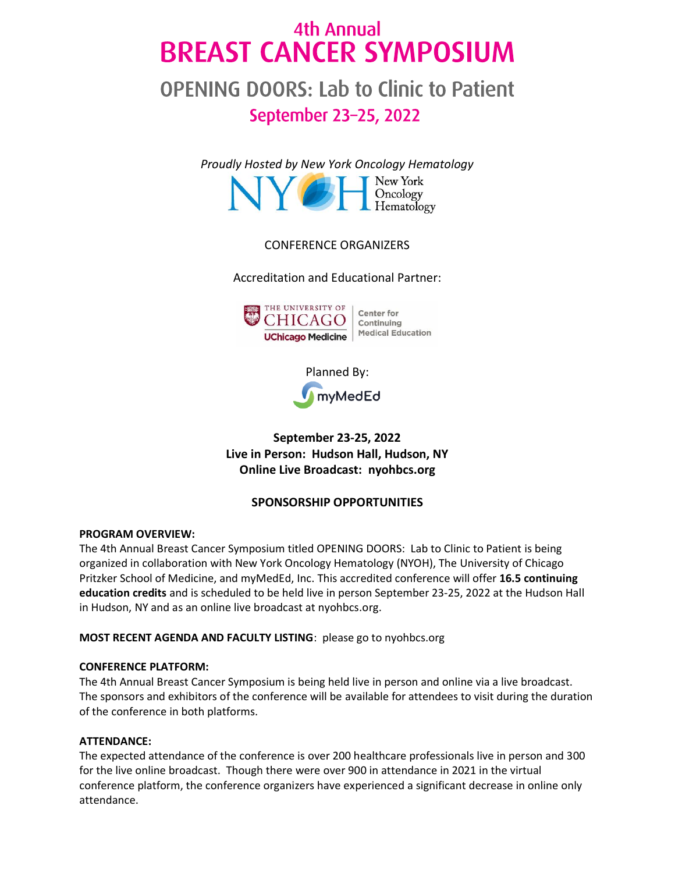# 4th Annual **BREAST CANCER SYMPOSIUM**

# **OPENING DOORS: Lab to Clinic to Patient** September 23-25, 2022

*Prou[dly Hosted by New York Oncology Hema](https://newyorkoncology.com/)tology* New York Oncology<br>Hematology

# CONFERENCE ORGANIZERS

Accreditation and Educational Partner:



Planned By: myMedEd

**September 23-25, 2022 Live in Person: Hudson Hall, Hudson, NY Online Live Broadcast: nyohbcs.org**

# **SPONSORSHIP OPPORTUNITIES**

#### **PROGRAM OVERVIEW:**

The 4th Annual Breast Cancer Symposium titled OPENING DOORS: Lab to Clinic to Patient is being organized in collaboration with New York Oncology Hematology (NYOH), The University of Chicago Pritzker School of Medicine, and myMedEd, Inc. This accredited conference will offer **16.5 continuing education credits** and is scheduled to be held live in person September 23-25, 2022 at the Hudson Hall in Hudson, NY and as an online live broadcast at nyohbcs.org.

**MOST RECENT AGENDA AND FACULTY LISTING**: please go to nyohbcs.org

#### **CONFERENCE PLATFORM:**

The 4th Annual Breast Cancer Symposium is being held live in person and online via a live broadcast. The sponsors and exhibitors of the conference will be available for attendees to visit during the duration of the conference in both platforms.

#### **ATTENDANCE:**

The expected attendance of the conference is over 200 healthcare professionals live in person and 300 for the live online broadcast. Though there were over 900 in attendance in 2021 in the virtual conference platform, the conference organizers have experienced a significant decrease in online only attendance.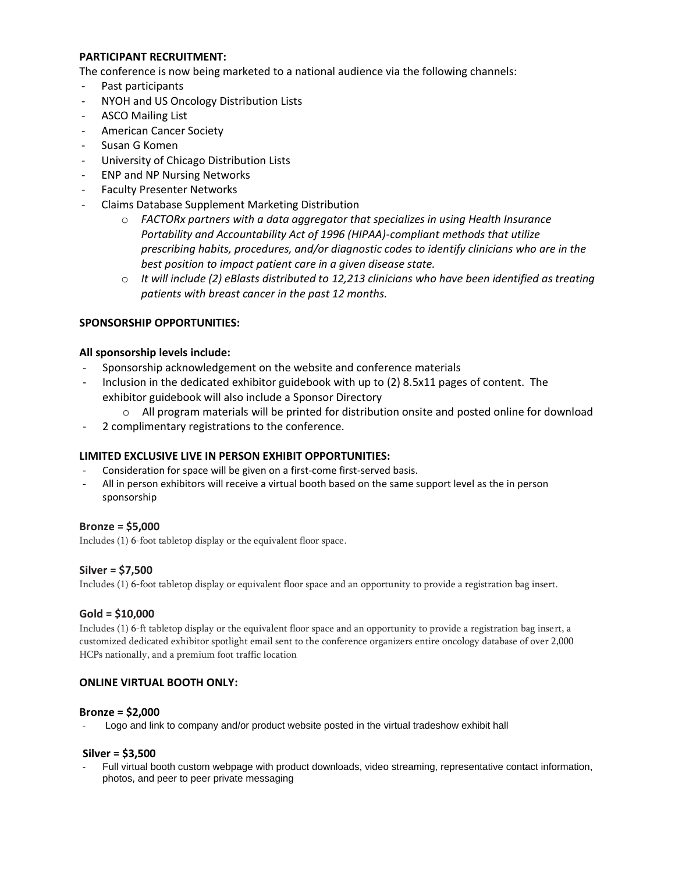#### **PARTICIPANT RECRUITMENT:**

The conference is now being marketed to a national audience via the following channels:

- Past participants
- NYOH and US Oncology Distribution Lists
- ASCO Mailing List
- American Cancer Society
- Susan G Komen
- University of Chicago Distribution Lists
- ENP and NP Nursing Networks
- Faculty Presenter Networks
- Claims Database Supplement Marketing Distribution
	- o *FACTORx partners with a data aggregator that specializes in using Health Insurance Portability and Accountability Act of 1996 (HIPAA)-compliant methods that utilize prescribing habits, procedures, and/or diagnostic codes to identify clinicians who are in the best position to impact patient care in a given disease state.*
	- o *It will include (2) eBlasts distributed to 12,213 clinicians who have been identified as treating patients with breast cancer in the past 12 months.*

## **SPONSORSHIP OPPORTUNITIES:**

#### **All sponsorship levels include:**

- Sponsorship acknowledgement on the website and conference materials
- Inclusion in the dedicated exhibitor guidebook with up to (2) 8.5x11 pages of content. The exhibitor guidebook will also include a Sponsor Directory
	- o All program materials will be printed for distribution onsite and posted online for download
- 2 complimentary registrations to the conference.

#### **LIMITED EXCLUSIVE LIVE IN PERSON EXHIBIT OPPORTUNITIES:**

- Consideration for space will be given on a first-come first-served basis.
- All in person exhibitors will receive a virtual booth based on the same support level as the in person sponsorship

## **Bronze = \$5,000**

Includes (1) 6-foot tabletop display or the equivalent floor space.

#### **Silver = \$7,500**

Includes (1) 6-foot tabletop display or equivalent floor space and an opportunity to provide a registration bag insert.

#### **Gold = \$10,000**

Includes (1) 6-ft tabletop display or the equivalent floor space and an opportunity to provide a registration bag insert, a customized dedicated exhibitor spotlight email sent to the conference organizers entire oncology database of over 2,000 HCPs nationally, and a premium foot traffic location

#### **ONLINE VIRTUAL BOOTH ONLY:**

#### **Bronze = \$2,000**

Logo and link to company and/or product website posted in the virtual tradeshow exhibit hall

#### **Silver = \$3,500**

Full virtual booth custom webpage with product downloads, video streaming, representative contact information, photos, and peer to peer private messaging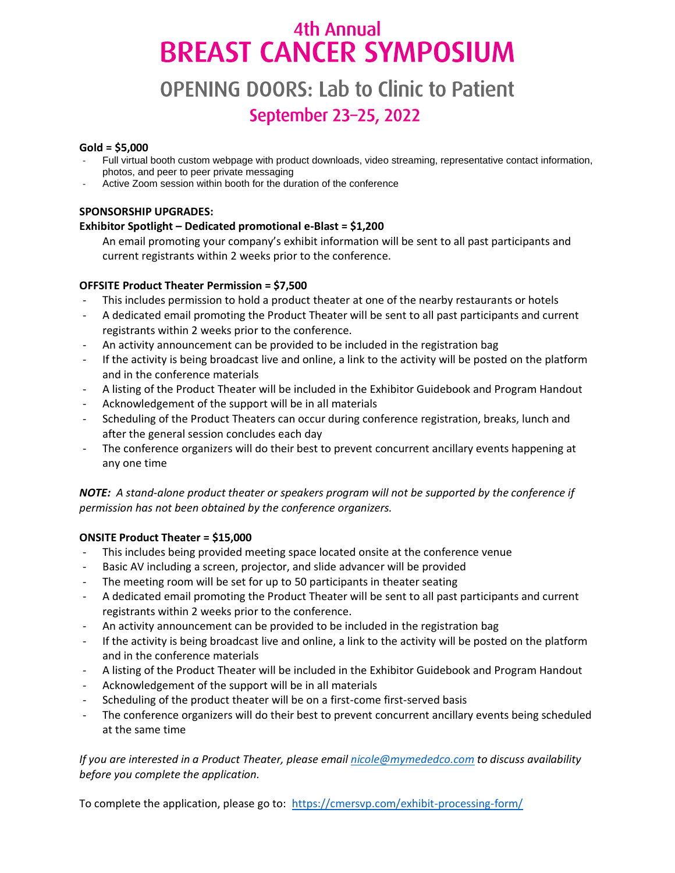# 4th Annual **BREAST CANCER SYMPOSIUM**

# **OPENING DOORS: Lab to Clinic to Patient** September 23-25, 2022

### **Gold = \$5,000**

- Full virtual booth custom webpage with product downloads, video streaming, representative contact information, photos, and peer to peer private messaging
- Active Zoom session within booth for the duration of the conference

# **SPONSORSHIP UPGRADES:**

# **Exhibitor Spotlight – Dedicated promotional e-Blast = \$1,200**

An email promoting your company's exhibit information will be sent to all past participants and current registrants within 2 weeks prior to the conference.

# **OFFSITE Product Theater Permission = \$7,500**

- This includes permission to hold a product theater at one of the nearby restaurants or hotels
- A dedicated email promoting the Product Theater will be sent to all past participants and current registrants within 2 weeks prior to the conference.
- An activity announcement can be provided to be included in the registration bag
- If the activity is being broadcast live and online, a link to the activity will be posted on the platform and in the conference materials
- A listing of the Product Theater will be included in the Exhibitor Guidebook and Program Handout
- Acknowledgement of the support will be in all materials
- Scheduling of the Product Theaters can occur during conference registration, breaks, lunch and after the general session concludes each day
- The conference organizers will do their best to prevent concurrent ancillary events happening at any one time

*NOTE: A stand-alone product theater or speakers program will not be supported by the conference if permission has not been obtained by the conference organizers.*

## **ONSITE Product Theater = \$15,000**

- This includes being provided meeting space located onsite at the conference venue
- Basic AV including a screen, projector, and slide advancer will be provided
- The meeting room will be set for up to 50 participants in theater seating
- A dedicated email promoting the Product Theater will be sent to all past participants and current registrants within 2 weeks prior to the conference.
- An activity announcement can be provided to be included in the registration bag
- If the activity is being broadcast live and online, a link to the activity will be posted on the platform and in the conference materials
- A listing of the Product Theater will be included in the Exhibitor Guidebook and Program Handout
- Acknowledgement of the support will be in all materials
- Scheduling of the product theater will be on a first-come first-served basis
- The conference organizers will do their best to prevent concurrent ancillary events being scheduled at the same time

*If you are interested in a Product Theater, please email [nicole@mymededco.com](mailto:nicole@mymededco.com) to discuss availability before you complete the application.*

To complete the application, please go to:<https://cmersvp.com/exhibit-processing-form/>